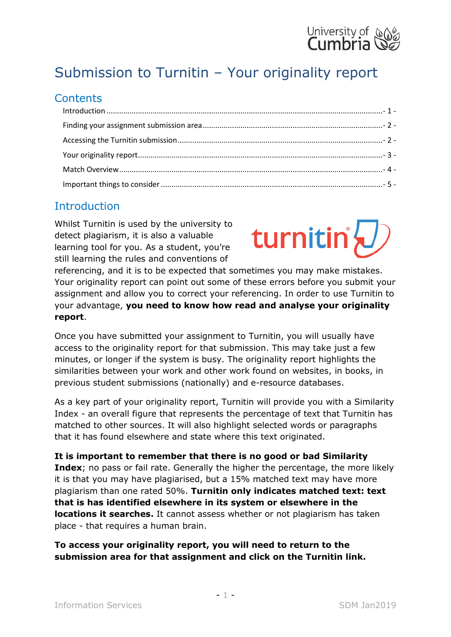

# Submission to Turnitin – Your originality report

#### **Contents**

## <span id="page-0-0"></span>**Introduction**

Whilst Turnitin is used by the university to detect plagiarism, it is also a valuable learning tool for you. As a student, you're still learning the rules and conventions of



referencing, and it is to be expected that sometimes you may make mistakes. Your originality report can point out some of these errors before you submit your assignment and allow you to correct your referencing. In order to use Turnitin to your advantage, **you need to know how read and analyse your originality report**.

Once you have submitted your assignment to Turnitin, you will usually have access to the originality report for that submission. This may take just a few minutes, or longer if the system is busy. The originality report highlights the similarities between your work and other work found on websites, in books, in previous student submissions (nationally) and e-resource databases.

As a key part of your originality report, Turnitin will provide you with a Similarity Index - an overall figure that represents the percentage of text that Turnitin has matched to other sources. It will also highlight selected words or paragraphs that it has found elsewhere and state where this text originated.

**It is important to remember that there is no good or bad Similarity Index**; no pass or fail rate. Generally the higher the percentage, the more likely it is that you may have plagiarised, but a 15% matched text may have more plagiarism than one rated 50%. **Turnitin only indicates matched text: text that is has identified elsewhere in its system or elsewhere in the locations it searches.** It cannot assess whether or not plagiarism has taken place - that requires a human brain.

**To access your originality report, you will need to return to the submission area for that assignment and click on the Turnitin link.**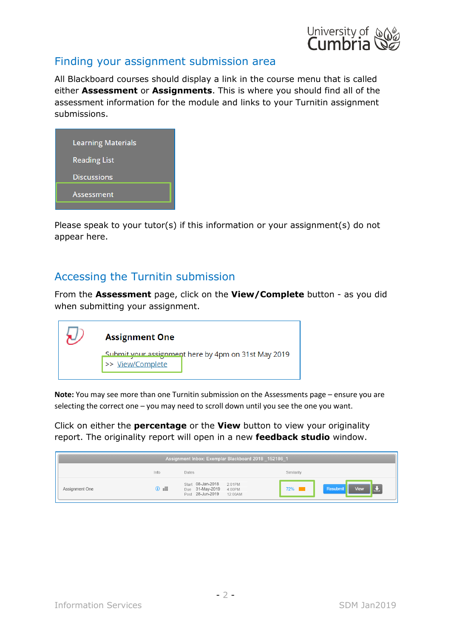

### <span id="page-1-0"></span>Finding your assignment submission area

All Blackboard courses should display a link in the course menu that is called either **Assessment** or **Assignments**. This is where you should find all of the assessment information for the module and links to your Turnitin assignment submissions.

| <b>Learning Materials</b> |
|---------------------------|
| <b>Reading List</b>       |
| <b>Discussions</b>        |
| Assessment                |
|                           |

Please speak to your tutor(s) if this information or your assignment(s) do not appear here.

#### <span id="page-1-1"></span>Accessing the Turnitin submission

From the **Assessment** page, click on the **View/Complete** button - as you did when submitting your assignment.

| <b>Assignment One</b>                                                   |  |  |  |  |  |
|-------------------------------------------------------------------------|--|--|--|--|--|
| Submit your assignment here by 4pm on 31st May 2019<br>>> View/Complete |  |  |  |  |  |
|                                                                         |  |  |  |  |  |

**Note:** You may see more than one Turnitin submission on the Assessments page – ensure you are selecting the correct one – you may need to scroll down until you see the one you want.

Click on either the **percentage** or the **View** button to view your originality report. The originality report will open in a new **feedback studio** window.

| Assignment Inbox: Exemplar Blackboard 2018 152186 1 |                |                                                                                   |                    |      |
|-----------------------------------------------------|----------------|-----------------------------------------------------------------------------------|--------------------|------|
|                                                     | Info           | Dates                                                                             | Similarity         |      |
| Assignment One                                      | $\mathbb{R}$ 0 | Start 08-Jan-2018 2:01PM<br>Due 31-May-2019 4:00PM<br>Post 28-Jun-2019<br>12:00AM | Resubmit<br>$72\%$ | View |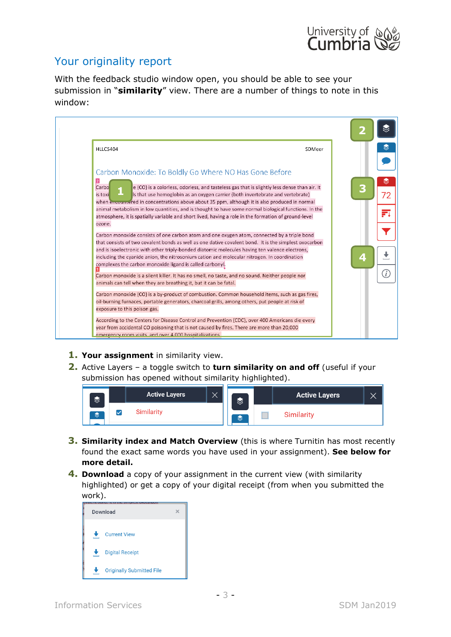

## <span id="page-2-0"></span>Your originality report

With the feedback studio window open, you should be able to see your submission in "**similarity**" view. There are a number of things to note in this window:

| <b>HLLC5404</b>                                                                                                                                                                          | SDMeer |
|------------------------------------------------------------------------------------------------------------------------------------------------------------------------------------------|--------|
|                                                                                                                                                                                          |        |
| Carbon Monoxide: To Boldly Go Where NO Has Gone Before                                                                                                                                   |        |
| 2 <br>Carbo                                                                                                                                                                              |        |
| e (CO) is a colorless, odorless, and tasteless gas that is slightly less dense than air. It<br>Is that use hemoglobin as an oxygen carrier (both invertebrate and vertebrate)<br>is toxi | З      |
| when encountered in concentrations above about 35 ppm, although it is also produced in normal                                                                                            |        |
| animal metabolism in low quantities, and is thought to have some normal biological functions. In the                                                                                     |        |
| atmosphere, it is spatially variable and short lived, having a role in the formation of ground-level                                                                                     |        |
| ozone.                                                                                                                                                                                   |        |
| Carbon monoxide consists of one carbon atom and one oxygen atom, connected by a triple bond                                                                                              |        |
| that consists of two covalent bonds as well as one dative covalent bond. It is the simplest oxocarbon                                                                                    |        |
| and is isoelectronic with other triply-bonded diatomic molecules having ten valence electrons,                                                                                           |        |
| including the cyanide anion, the nitrosonium cation and molecular nitrogen. In coordination<br>complexes the carbon monoxide ligand is called carbonyl.                                  | z      |
|                                                                                                                                                                                          |        |
| Carbon monoxide is a silent killer. It has no smell, no taste, and no sound. Neither people nor                                                                                          |        |
| animals can tell when they are breathing it, but it can be fatal.                                                                                                                        |        |
| Carbon monoxide (CO) is a by-product of combustion. Common household items, such as gas fires,                                                                                           |        |
| oil-burning furnaces, portable generators, charcoal grills, among others, put people at risk of                                                                                          |        |
| exposure to this poison gas.                                                                                                                                                             |        |
| According to the Centers for Disease Control and Prevention (CDC), over 400 Americans die every                                                                                          |        |
| year from accidental CO poisoning that is not caused by fires. There are more than 20,000                                                                                                |        |
| emergency room visits, and over 4,000 hospitalizations.                                                                                                                                  |        |

- **1. Your assignment** in similarity view.
- **2.** Active Layers a toggle switch to **turn similarity on and off** (useful if your submission has opened without similarity highlighted).



- **3. Similarity index and Match Overview** (this is where Turnitin has most recently found the exact same words you have used in your assignment). **See below for more detail.**
- **4. Download** a copy of your assignment in the current view (with similarity highlighted) or get a copy of your digital receipt (from when you submitted the work).

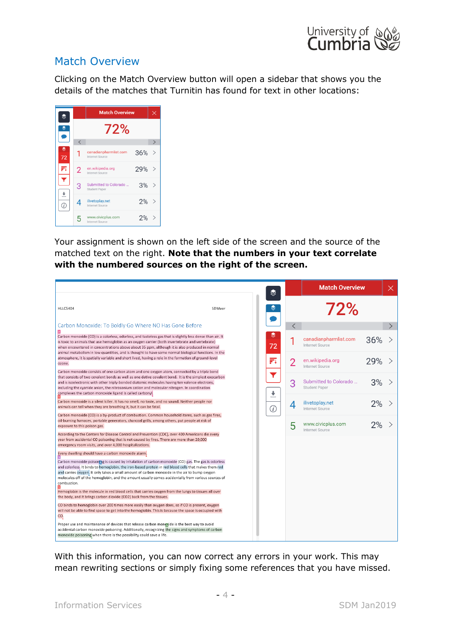

#### <span id="page-3-0"></span>Match Overview

Clicking on the Match Overview button will open a sidebar that shows you the details of the matches that Turnitin has found for text in other locations:

|                |                                          |                                          | <b>Match Overview</b> |               |  |
|----------------|------------------------------------------|------------------------------------------|-----------------------|---------------|--|
|                | 72%                                      |                                          |                       |               |  |
|                | $\overline{\left\langle \right\rangle }$ |                                          |                       | $\mathcal{P}$ |  |
| 72             | 1                                        | canadianpharmlist.com<br>Internet Source | 36%                   | $\mathcal{P}$ |  |
| 郠              | $\overline{2}$                           | en.wikipedia.org<br>Internet Source      | 29%                   | $\mathcal{P}$ |  |
|                | 3                                        | Submitted to Colorado<br>Student Paper   | 3%                    | $\mathcal{P}$ |  |
| $\overline{C}$ | 4                                        | ilivetoplay.net<br>Internet Source       | 2%                    |               |  |
|                | 5                                        | www.civicplus.com<br>Internet Source     | 2%                    |               |  |

Your assignment is shown on the left side of the screen and the source of the matched text on the right. **Note that the numbers in your text correlate with the numbered sources on the right of the screen.**

| ≋                                                                                                                                                                                                                                                                                                                                                                                                                                                                           |                | <b>Match Overview</b>                               |  |
|-----------------------------------------------------------------------------------------------------------------------------------------------------------------------------------------------------------------------------------------------------------------------------------------------------------------------------------------------------------------------------------------------------------------------------------------------------------------------------|----------------|-----------------------------------------------------|--|
| €<br><b>HLLC5404</b><br>SDMeer                                                                                                                                                                                                                                                                                                                                                                                                                                              |                | 72%                                                 |  |
| Carbon Monoxide: To Boldly Go Where NO Has Gone Before                                                                                                                                                                                                                                                                                                                                                                                                                      | $\lt$          |                                                     |  |
| ଛ<br>Carbon monoxide (CO) is a colorless, odorless, and tasteless gas that is slightly less dense than air. It<br>is toxic to animals that use hemoglobin as an oxygen carrier (both invertebrate and vertebrate)<br>72<br>when encountered in concentrations above about 35 ppm, although it is also produced in normal<br>animal metabolism in low quantities, and is thought to have some normal biological functions. In the                                            |                | canadianpharmlist.com<br>36%<br>Internet Source     |  |
| atmosphere, it is spatially variable and short lived, having a role in the formation of ground-level<br>FI<br>ozone.                                                                                                                                                                                                                                                                                                                                                        | $\overline{2}$ | en.wikipedia.org<br>29%<br>Internet Source          |  |
| Carbon monoxide consists of one carbon atom and one oxygen atom, connected by a triple bond<br>Y<br>that consists of two covalent bonds as well as one dative covalent bond. It is the simplest oxocarbon<br>and is isoelectronic with other triply-bonded diatomic molecules having ten valence electrons,<br>including the cyanide anion, the nitrosonium cation and molecular nitrogen. In coordination<br>÷<br>complexes the carbon monoxide ligand is called carbonyl. | 3              | Submitted to Colorado<br>3%<br><b>Student Paper</b> |  |
| Carbon monoxide is a silent killer. It has no smell, no taste, and no sound. Neither people nor<br>animals can tell when they are breathing it, but it can be fatal.<br>$\bigcirc$                                                                                                                                                                                                                                                                                          | 4              | ilivetoplay.net<br>2%<br><b>Internet Source</b>     |  |
| Carbon monoxide (CO) is a by-product of combustion. Common household items, such as gas fires,<br>oil-burning furnaces, portable generators, charcoal grills, among others, put people at risk of<br>exposure to this poison gas.                                                                                                                                                                                                                                           | 5              | www.civicplus.com<br>Internet Source                |  |
| According to the Centers for Disease Control and Prevention (CDC), over 400 Americans die every<br>year from accidental CO poisoning that is not caused by fires. There are more than 20,000<br>emergency room visits, and over 4,000 hospitalizations.                                                                                                                                                                                                                     |                |                                                     |  |
| Every dwelling should have a carbon monoxide alarm.                                                                                                                                                                                                                                                                                                                                                                                                                         |                |                                                     |  |
| Carbon monoxide poisoning is caused by inhalation of carbon monoxide (CO) gas. The gas is odorless<br>and colorless. It binds to hemoglobin, the iron-based protein in red blood cells that makes them red<br>and carries oxygen. It only takes a small amount of carbon monoxide in the air to bump oxygen<br>molecules off of the hemoglobin, and the amount usually comes accidentally from various sources of<br>combustion.                                            |                |                                                     |  |
| Hemoglobin is the molecule in red blood cells that carries oxygen from the lungs to tissues all over<br>the body, and it brings carbon dioxide (CO2) back from the tissues.                                                                                                                                                                                                                                                                                                 |                |                                                     |  |
| CO binds to hemoglobin over 200 times more easily than oxygen does, so if CO is present, oxygen<br>will not be able to find space to get into the hemoglobin. This is because the space is occupied with<br>CO.                                                                                                                                                                                                                                                             |                |                                                     |  |
| Proper use and maintenance of devices that release carbon mongside is the best way to avoid<br>accidental carbon monoxide poisoning. Additionally, recognizing the signs and symptoms of carbon<br>monoxide poisoning when there is the possibility could save a life.                                                                                                                                                                                                      |                |                                                     |  |

With this information, you can now correct any errors in your work. This may mean rewriting sections or simply fixing some references that you have missed.